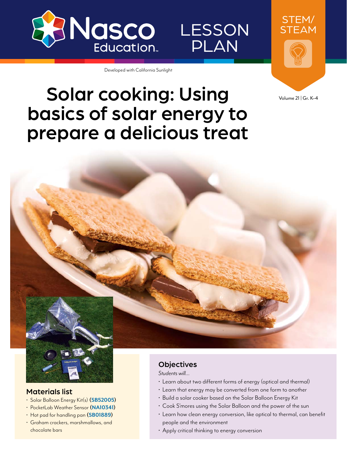

LESSON PLAN

Developed with California Sunlight

## Solar cooking: Using basics of solar energy to prepare a delicious treat

STEM/ STEAM

Volume 21 | Gr. K–4



#### Materials list

- Solar Balloon Energy Kit(s) **[\(SB52005](https://www.enasco.com/p/SB52005))**
- PocketLab Weather Sensor **[\(NA10341](https://www.enasco.com/p/NA10341))**
- Hot pad for handling pan **([SB01889\)](https://www.enasco.com/p/SB01889)**
- Graham crackers, marshmallows, and chocolate bars

#### **Objectives**

*Students will…*

- Learn about two different forms of energy (optical and thermal)
- Learn that energy may be converted from one form to another
- Build a solar cooker based on the Solar Balloon Energy Kit
- Cook S'mores using the Solar Balloon and the power of the sun
- Learn how clean energy conversion, like optical to thermal, can benefit people and the environment
- Apply critical thinking to energy conversion